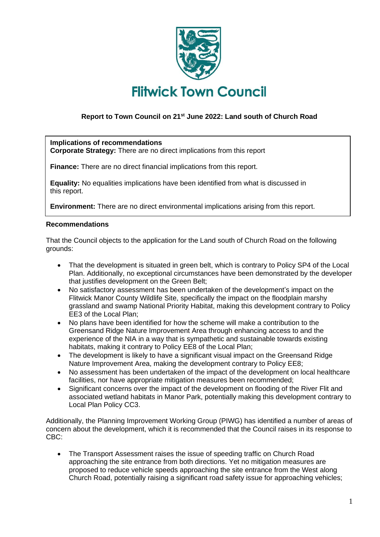

# **Report to Town Council on 21st June 2022: Land south of Church Road**

## **Implications of recommendations**

**Corporate Strategy:** There are no direct implications from this report

**Finance:** There are no direct financial implications from this report.

**Equality:** No equalities implications have been identified from what is discussed in this report.

**Environment:** There are no direct environmental implications arising from this report.

#### **Recommendations**

That the Council objects to the application for the Land south of Church Road on the following grounds:

- That the development is situated in green belt, which is contrary to Policy SP4 of the Local Plan. Additionally, no exceptional circumstances have been demonstrated by the developer that justifies development on the Green Belt;
- No satisfactory assessment has been undertaken of the development's impact on the Flitwick Manor County Wildlife Site, specifically the impact on the floodplain marshy grassland and swamp National Priority Habitat, making this development contrary to Policy EE3 of the Local Plan;
- No plans have been identified for how the scheme will make a contribution to the Greensand Ridge Nature Improvement Area through enhancing access to and the experience of the NIA in a way that is sympathetic and sustainable towards existing habitats, making it contrary to Policy EE8 of the Local Plan;
- The development is likely to have a significant visual impact on the Greensand Ridge Nature Improvement Area, making the development contrary to Policy EE8;
- No assessment has been undertaken of the impact of the development on local healthcare facilities, nor have appropriate mitigation measures been recommended;
- Significant concerns over the impact of the development on flooding of the River Flit and associated wetland habitats in Manor Park, potentially making this development contrary to Local Plan Policy CC3.

Additionally, the Planning Improvement Working Group (PIWG) has identified a number of areas of concern about the development, which it is recommended that the Council raises in its response to CBC:

• The Transport Assessment raises the issue of speeding traffic on Church Road approaching the site entrance from both directions. Yet no mitigation measures are proposed to reduce vehicle speeds approaching the site entrance from the West along Church Road, potentially raising a significant road safety issue for approaching vehicles;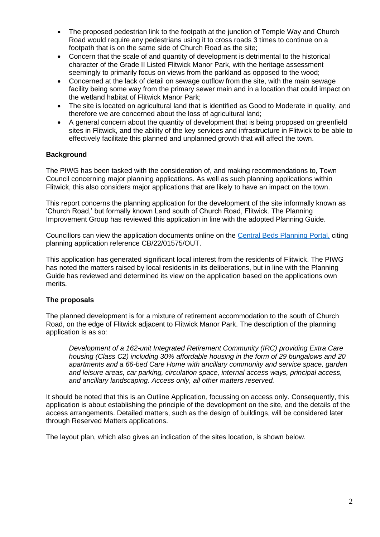- The proposed pedestrian link to the footpath at the junction of Temple Way and Church Road would require any pedestrians using it to cross roads 3 times to continue on a footpath that is on the same side of Church Road as the site;
- Concern that the scale of and quantity of development is detrimental to the historical character of the Grade II Listed Flitwick Manor Park, with the heritage assessment seemingly to primarily focus on views from the parkland as opposed to the wood;
- Concerned at the lack of detail on sewage outflow from the site, with the main sewage facility being some way from the primary sewer main and in a location that could impact on the wetland habitat of Flitwick Manor Park;
- The site is located on agricultural land that is identified as Good to Moderate in quality, and therefore we are concerned about the loss of agricultural land;
- A general concern about the quantity of development that is being proposed on greenfield sites in Flitwick, and the ability of the key services and infrastructure in Flitwick to be able to effectively facilitate this planned and unplanned growth that will affect the town.

## **Background**

The PIWG has been tasked with the consideration of, and making recommendations to, Town Council concerning major planning applications. As well as such planning applications within Flitwick, this also considers major applications that are likely to have an impact on the town.

This report concerns the planning application for the development of the site informally known as 'Church Road,' but formally known Land south of Church Road, Flitwick. The Planning Improvement Group has reviewed this application in line with the adopted Planning Guide.

Councillors can view the application documents online on the [Central Beds Planning Portal,](http://plantech.centralbedfordshire.gov.uk/PLANTECH/DCWebPages/acolnetcgi.gov?ACTION=UNWRAP&RIPNAME=Root.PgeResultDetail&TheSystemkey=628773) citing planning application reference CB/22/01575/OUT.

This application has generated significant local interest from the residents of Flitwick. The PIWG has noted the matters raised by local residents in its deliberations, but in line with the Planning Guide has reviewed and determined its view on the application based on the applications own merits.

#### **The proposals**

The planned development is for a mixture of retirement accommodation to the south of Church Road, on the edge of Flitwick adjacent to Flitwick Manor Park. The description of the planning application is as so:

*Development of a 162-unit Integrated Retirement Community (IRC) providing Extra Care housing (Class C2) including 30% affordable housing in the form of 29 bungalows and 20 apartments and a 66-bed Care Home with ancillary community and service space, garden and leisure areas, car parking, circulation space, internal access ways, principal access, and ancillary landscaping. Access only, all other matters reserved.*

It should be noted that this is an Outline Application*,* focussing on access only. Consequently, this application is about establishing the principle of the development on the site, and the details of the access arrangements. Detailed matters, such as the design of buildings, will be considered later through Reserved Matters applications.

The layout plan, which also gives an indication of the sites location, is shown below.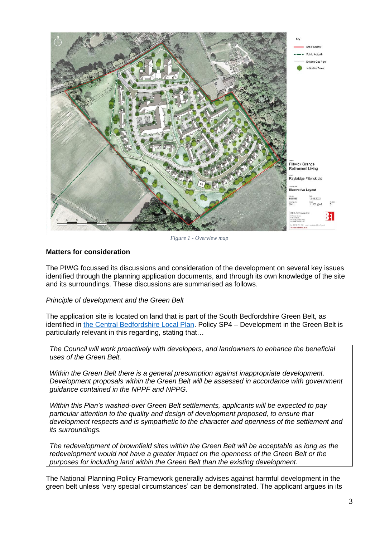

*Figure 1 - Overview map*

# **Matters for consideration**

The PIWG focussed its discussions and consideration of the development on several key issues identified through the planning application documents, and through its own knowledge of the site and its surroundings. These discussions are summarised as follows.

#### *Principle of development and the Green Belt*

The application site is located on land that is part of the South Bedfordshire Green Belt, as identified in [the Central Bedfordshire Local Plan.](https://www.centralbedfordshire.gov.uk/info/153/central_bedfordshire_local_plan_2015_to_2035/1034/adopted_local_plan) Policy SP4 – Development in the Green Belt is particularly relevant in this regarding, stating that…

*The Council will work proactively with developers, and landowners to enhance the beneficial uses of the Green Belt.*

*Within the Green Belt there is a general presumption against inappropriate development. Development proposals within the Green Belt will be assessed in accordance with government guidance contained in the NPPF and NPPG.*

*Within this Plan's washed-over Green Belt settlements, applicants will be expected to pay particular attention to the quality and design of development proposed, to ensure that development respects and is sympathetic to the character and openness of the settlement and its surroundings.*

*The redevelopment of brownfield sites within the Green Belt will be acceptable as long as the redevelopment would not have a greater impact on the openness of the Green Belt or the purposes for including land within the Green Belt than the existing development.*

The National Planning Policy Framework generally advises against harmful development in the green belt unless 'very special circumstances' can be demonstrated. The applicant argues in its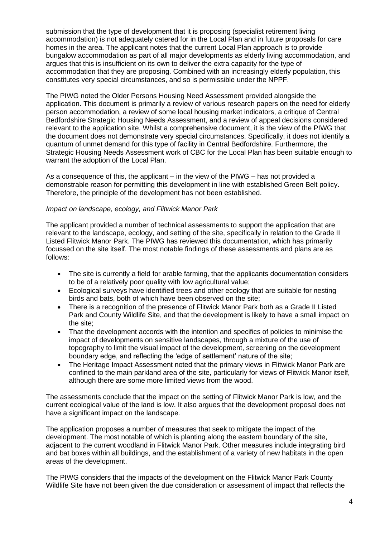submission that the type of development that it is proposing (specialist retirement living accommodation) is not adequately catered for in the Local Plan and in future proposals for care homes in the area. The applicant notes that the current Local Plan approach is to provide bungalow accommodation as part of all major developments as elderly living accommodation, and argues that this is insufficient on its own to deliver the extra capacity for the type of accommodation that they are proposing. Combined with an increasingly elderly population, this constitutes very special circumstances, and so is permissible under the NPPF.

The PIWG noted the Older Persons Housing Need Assessment provided alongside the application. This document is primarily a review of various research papers on the need for elderly person accommodation, a review of some local housing market indicators, a critique of Central Bedfordshire Strategic Housing Needs Assessment, and a review of appeal decisions considered relevant to the application site. Whilst a comprehensive document, it is the view of the PIWG that the document does not demonstrate very special circumstances. Specifically, it does not identify a quantum of unmet demand for this type of facility in Central Bedfordshire. Furthermore, the Strategic Housing Needs Assessment work of CBC for the Local Plan has been suitable enough to warrant the adoption of the Local Plan.

As a consequence of this, the applicant – in the view of the PIWG – has not provided a demonstrable reason for permitting this development in line with established Green Belt policy. Therefore, the principle of the development has not been established.

#### *Impact on landscape, ecology, and Flitwick Manor Park*

The applicant provided a number of technical assessments to support the application that are relevant to the landscape, ecology, and setting of the site, specifically in relation to the Grade II Listed Flitwick Manor Park. The PIWG has reviewed this documentation, which has primarily focussed on the site itself. The most notable findings of these assessments and plans are as follows:

- The site is currently a field for arable farming, that the applicants documentation considers to be of a relatively poor quality with low agricultural value;
- Ecological surveys have identified trees and other ecology that are suitable for nesting birds and bats, both of which have been observed on the site;
- There is a recognition of the presence of Flitwick Manor Park both as a Grade II Listed Park and County Wildlife Site, and that the development is likely to have a small impact on the site;
- That the development accords with the intention and specifics of policies to minimise the impact of developments on sensitive landscapes, through a mixture of the use of topography to limit the visual impact of the development, screening on the development boundary edge, and reflecting the 'edge of settlement' nature of the site;
- The Heritage Impact Assessment noted that the primary views in Flitwick Manor Park are confined to the main parkland area of the site, particularly for views of Flitwick Manor itself, although there are some more limited views from the wood.

The assessments conclude that the impact on the setting of Flitwick Manor Park is low, and the current ecological value of the land is low. It also argues that the development proposal does not have a significant impact on the landscape.

The application proposes a number of measures that seek to mitigate the impact of the development. The most notable of which is planting along the eastern boundary of the site, adjacent to the current woodland in Flitwick Manor Park. Other measures include integrating bird and bat boxes within all buildings, and the establishment of a variety of new habitats in the open areas of the development.

The PIWG considers that the impacts of the development on the Flitwick Manor Park County Wildlife Site have not been given the due consideration or assessment of impact that reflects the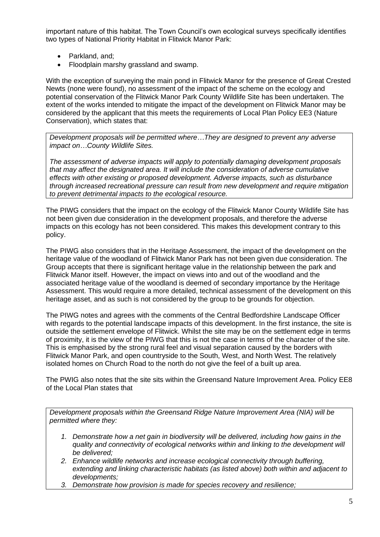important nature of this habitat. The Town Council's own ecological surveys specifically identifies two types of National Priority Habitat in Flitwick Manor Park:

- Parkland, and;
- Floodplain marshy grassland and swamp.

With the exception of surveying the main pond in Flitwick Manor for the presence of Great Crested Newts (none were found), no assessment of the impact of the scheme on the ecology and potential conservation of the Flitwick Manor Park County Wildlife Site has been undertaken. The extent of the works intended to mitigate the impact of the development on Flitwick Manor may be considered by the applicant that this meets the requirements of Local Plan Policy EE3 (Nature Conservation), which states that:

*Development proposals will be permitted where…They are designed to prevent any adverse impact on…County Wildlife Sites.*

*The assessment of adverse impacts will apply to potentially damaging development proposals that may affect the designated area. It will include the consideration of adverse cumulative effects with other existing or proposed development. Adverse impacts, such as disturbance through increased recreational pressure can result from new development and require mitigation to prevent detrimental impacts to the ecological resource.*

The PIWG considers that the impact on the ecology of the Flitwick Manor County Wildlife Site has not been given due consideration in the development proposals, and therefore the adverse impacts on this ecology has not been considered. This makes this development contrary to this policy.

The PIWG also considers that in the Heritage Assessment, the impact of the development on the heritage value of the woodland of Flitwick Manor Park has not been given due consideration. The Group accepts that there is significant heritage value in the relationship between the park and Flitwick Manor itself. However, the impact on views into and out of the woodland and the associated heritage value of the woodland is deemed of secondary importance by the Heritage Assessment. This would require a more detailed, technical assessment of the development on this heritage asset, and as such is not considered by the group to be grounds for objection.

The PIWG notes and agrees with the comments of the Central Bedfordshire Landscape Officer with regards to the potential landscape impacts of this development. In the first instance, the site is outside the settlement envelope of Flitwick. Whilst the site may be on the settlement edge in terms of proximity, it is the view of the PIWG that this is not the case in terms of the character of the site. This is emphasised by the strong rural feel and visual separation caused by the borders with Flitwick Manor Park, and open countryside to the South, West, and North West. The relatively isolated homes on Church Road to the north do not give the feel of a built up area.

The PWIG also notes that the site sits within the Greensand Nature Improvement Area. Policy EE8 of the Local Plan states that

*Development proposals within the Greensand Ridge Nature Improvement Area (NIA) will be permitted where they:*

- *1. Demonstrate how a net gain in biodiversity will be delivered, including how gains in the quality and connectivity of ecological networks within and linking to the development will be delivered;*
- *2. Enhance wildlife networks and increase ecological connectivity through buffering, extending and linking characteristic habitats (as listed above) both within and adjacent to developments;*
- *3. Demonstrate how provision is made for species recovery and resilience;*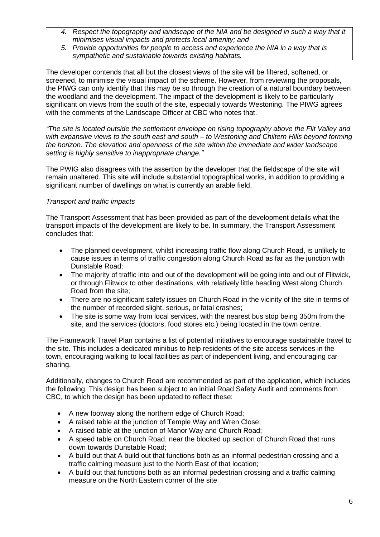- *4. Respect the topography and landscape of the NIA and be designed in such a way that it minimises visual impacts and protects local amenity; and*
- *5. Provide opportunities for people to access and experience the NIA in a way that is sympathetic and sustainable towards existing habitats.*

The developer contends that all but the closest views of the site will be filtered, softened, or screened, to minimise the visual impact of the scheme. However, from reviewing the proposals, the PIWG can only identify that this may be so through the creation of a natural boundary between the woodland and the development. The impact of the development is likely to be particularly significant on views from the south of the site, especially towards Westoning. The PIWG agrees with the comments of the Landscape Officer at CBC who notes that.

*"The site is located outside the settlement envelope on rising topography above the Flit Valley and with expansive views to the south east and south – to Westoning and Chiltern Hills beyond forming the horizon. The elevation and openness of the site within the immediate and wider landscape setting is highly sensitive to inappropriate change."*

The PWIG also disagrees with the assertion by the developer that the fieldscape of the site will remain unaltered. This site will include substantial topographical works, in addition to providing a significant number of dwellings on what is currently an arable field.

# *Transport and traffic impacts*

The Transport Assessment that has been provided as part of the development details what the transport impacts of the development are likely to be. In summary, the Transport Assessment concludes that:

- The planned development, whilst increasing traffic flow along Church Road, is unlikely to cause issues in terms of traffic congestion along Church Road as far as the junction with Dunstable Road;
- The majority of traffic into and out of the development will be going into and out of Flitwick, or through Flitwick to other destinations, with relatively little heading West along Church Road from the site;
- There are no significant safety issues on Church Road in the vicinity of the site in terms of the number of recorded slight, serious, or fatal crashes;
- The site is some way from local services, with the nearest bus stop being 350m from the site, and the services (doctors, food stores etc.) being located in the town centre.

The Framework Travel Plan contains a list of potential initiatives to encourage sustainable travel to the site. This includes a dedicated minibus to help residents of the site access services in the town, encouraging walking to local facilities as part of independent living, and encouraging car sharing.

Additionally, changes to Church Road are recommended as part of the application, which includes the following. This design has been subject to an initial Road Safety Audit and comments from CBC, to which the design has been updated to reflect these:

- A new footway along the northern edge of Church Road;
- A raised table at the junction of Temple Way and Wren Close;
- A raised table at the junction of Manor Way and Church Road;
- A speed table on Church Road, near the blocked up section of Church Road that runs down towards Dunstable Road;
- A build out that A build out that functions both as an informal pedestrian crossing and a traffic calming measure just to the North East of that location;
- A build out that functions both as an informal pedestrian crossing and a traffic calming measure on the North Eastern corner of the site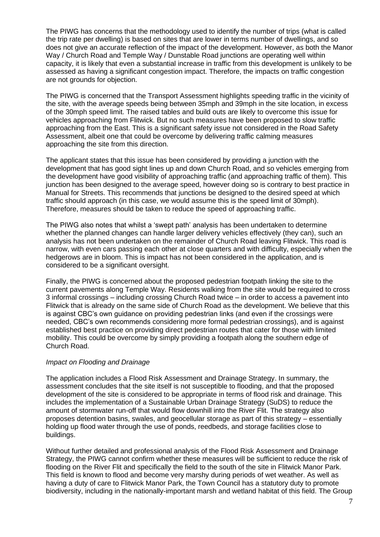The PIWG has concerns that the methodology used to identify the number of trips (what is called the trip rate per dwelling) is based on sites that are lower in terms number of dwellings, and so does not give an accurate reflection of the impact of the development. However, as both the Manor Way / Church Road and Temple Way / Dunstable Road junctions are operating well within capacity, it is likely that even a substantial increase in traffic from this development is unlikely to be assessed as having a significant congestion impact. Therefore, the impacts on traffic congestion are not grounds for objection.

The PIWG is concerned that the Transport Assessment highlights speeding traffic in the vicinity of the site, with the average speeds being between 35mph and 39mph in the site location, in excess of the 30mph speed limit. The raised tables and build outs are likely to overcome this issue for vehicles approaching from Flitwick. But no such measures have been proposed to slow traffic approaching from the East. This is a significant safety issue not considered in the Road Safety Assessment, albeit one that could be overcome by delivering traffic calming measures approaching the site from this direction.

The applicant states that this issue has been considered by providing a junction with the development that has good sight lines up and down Church Road, and so vehicles emerging from the development have good visibility of approaching traffic (and approaching traffic of them). This junction has been designed to the average speed, however doing so is contrary to best practice in Manual for Streets. This recommends that junctions be designed to the desired speed at which traffic should approach (in this case, we would assume this is the speed limit of 30mph). Therefore, measures should be taken to reduce the speed of approaching traffic.

The PIWG also notes that whilst a 'swept path' analysis has been undertaken to determine whether the planned changes can handle larger delivery vehicles effectively (they can), such an analysis has not been undertaken on the remainder of Church Road leaving Flitwick. This road is narrow, with even cars passing each other at close quarters and with difficulty, especially when the hedgerows are in bloom. This is impact has not been considered in the application, and is considered to be a significant oversight.

Finally, the PIWG is concerned about the proposed pedestrian footpath linking the site to the current pavements along Temple Way. Residents walking from the site would be required to cross 3 informal crossings – including crossing Church Road twice – in order to access a pavement into Flitwick that is already on the same side of Church Road as the development. We believe that this is against CBC's own guidance on providing pedestrian links (and even if the crossings were needed, CBC's own recommends considering more formal pedestrian crossings), and is against established best practice on providing direct pedestrian routes that cater for those with limited mobility. This could be overcome by simply providing a footpath along the southern edge of Church Road.

#### *Impact on Flooding and Drainage*

The application includes a Flood Risk Assessment and Drainage Strategy. In summary, the assessment concludes that the site itself is not susceptible to flooding, and that the proposed development of the site is considered to be appropriate in terms of flood risk and drainage. This includes the implementation of a Sustainable Urban Drainage Strategy (SuDS) to reduce the amount of stormwater run-off that would flow downhill into the River Flit. The strategy also proposes detention basins, swales, and geocellular storage as part of this strategy – essentially holding up flood water through the use of ponds, reedbeds, and storage facilities close to buildings.

Without further detailed and professional analysis of the Flood Risk Assessment and Drainage Strategy, the PIWG cannot confirm whether these measures will be sufficient to reduce the risk of flooding on the River Flit and specifically the field to the south of the site in Flitwick Manor Park. This field is known to flood and become very marshy during periods of wet weather. As well as having a duty of care to Flitwick Manor Park, the Town Council has a statutory duty to promote biodiversity, including in the nationally-important marsh and wetland habitat of this field. The Group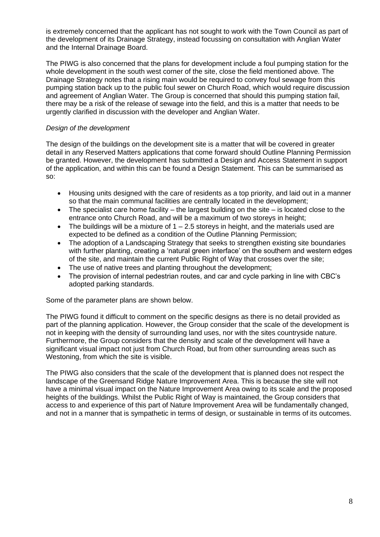is extremely concerned that the applicant has not sought to work with the Town Council as part of the development of its Drainage Strategy, instead focussing on consultation with Anglian Water and the Internal Drainage Board.

The PIWG is also concerned that the plans for development include a foul pumping station for the whole development in the south west corner of the site, close the field mentioned above. The Drainage Strategy notes that a rising main would be required to convey foul sewage from this pumping station back up to the public foul sewer on Church Road, which would require discussion and agreement of Anglian Water. The Group is concerned that should this pumping station fail, there may be a risk of the release of sewage into the field, and this is a matter that needs to be urgently clarified in discussion with the developer and Anglian Water.

### *Design of the development*

The design of the buildings on the development site is a matter that will be covered in greater detail in any Reserved Matters applications that come forward should Outline Planning Permission be granted. However, the development has submitted a Design and Access Statement in support of the application, and within this can be found a Design Statement. This can be summarised as so:

- Housing units designed with the care of residents as a top priority, and laid out in a manner so that the main communal facilities are centrally located in the development;
- The specialist care home facility the largest building on the site is located close to the entrance onto Church Road, and will be a maximum of two storeys in height;
- The buildings will be a mixture of  $1 2.5$  storeys in height, and the materials used are expected to be defined as a condition of the Outline Planning Permission;
- The adoption of a Landscaping Strategy that seeks to strengthen existing site boundaries with further planting, creating a 'natural green interface' on the southern and western edges of the site, and maintain the current Public Right of Way that crosses over the site;
- The use of native trees and planting throughout the development;
- The provision of internal pedestrian routes, and car and cycle parking in line with CBC's adopted parking standards.

Some of the parameter plans are shown below.

The PIWG found it difficult to comment on the specific designs as there is no detail provided as part of the planning application. However, the Group consider that the scale of the development is not in keeping with the density of surrounding land uses, nor with the sites countryside nature. Furthermore, the Group considers that the density and scale of the development will have a significant visual impact not just from Church Road, but from other surrounding areas such as Westoning, from which the site is visible.

The PIWG also considers that the scale of the development that is planned does not respect the landscape of the Greensand Ridge Nature Improvement Area. This is because the site will not have a minimal visual impact on the Nature Improvement Area owing to its scale and the proposed heights of the buildings. Whilst the Public Right of Way is maintained, the Group considers that access to and experience of this part of Nature Improvement Area will be fundamentally changed, and not in a manner that is sympathetic in terms of design, or sustainable in terms of its outcomes.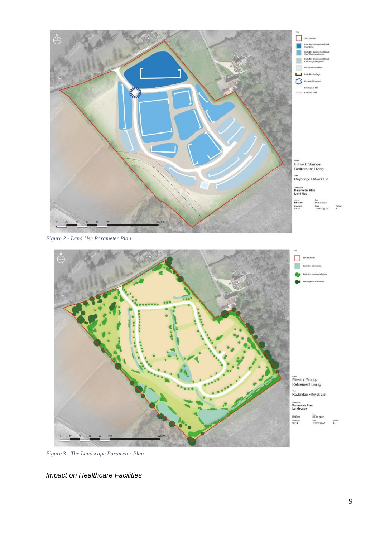



*Figure 3 - The Landscape Parameter Plan*

*Impact on Healthcare Facilities*

 $_{\rm A}^{\rm near}$